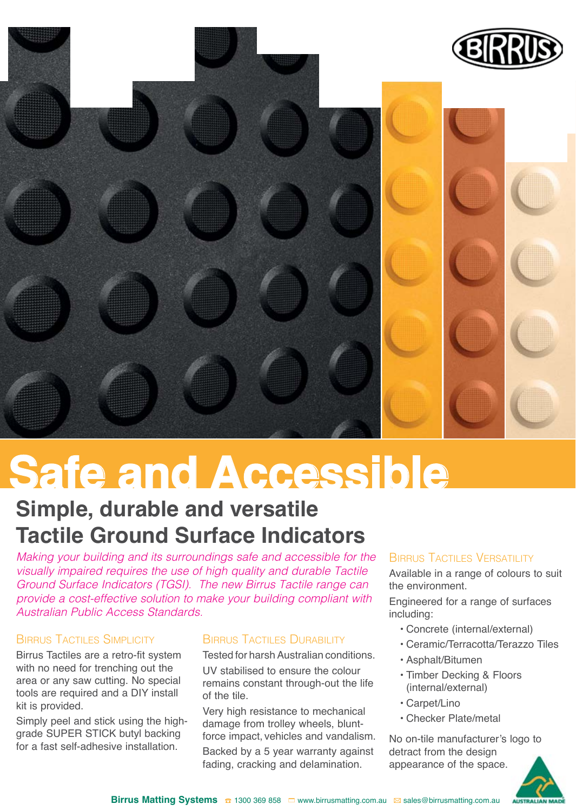

# **Safe and Accessible**

### **Simple, durable and versatile Tactile Ground Surface Indicators**

*Making your building and its surroundings safe and accessible for the visually impaired requires the use of high quality and durable Tactile Ground Surface Indicators (TGSI). The new Birrus Tactile range can provide a cost-effective solution to make your building compliant with Australian Public Access Standards.*

### Birrus Tactiles Simplicity

Birrus Tactiles are a retro-fit system with no need for trenching out the area or any saw cutting. No special tools are required and a DIY install kit is provided.

Simply peel and stick using the highgrade SUPER STICK butyl backing for a fast self-adhesive installation.

### Birrus Tactiles Durability

Tested for harsh Australian conditions. UV stabilised to ensure the colour remains constant through-out the life of the tile.

Very high resistance to mechanical damage from trolley wheels, bluntforce impact, vehicles and vandalism.

Backed by a 5 year warranty against fading, cracking and delamination.

### Birrus Tactiles Versatility

Available in a range of colours to suit the environment.

Engineered for a range of surfaces including:

- • Concrete (internal/external)
- • Ceramic/Terracotta/Terazzo Tiles
- • Asphalt/Bitumen
- • Timber Decking & Floors (internal/external)
- • Carpet/Lino
- • Checker Plate/metal

No on-tile manufacturer's logo to detract from the design appearance of the space.